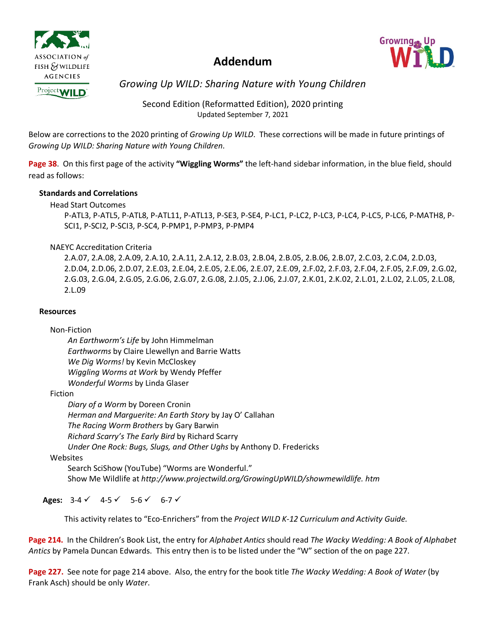

### **Addendum**



*Growing Up WILD: Sharing Nature with Young Children*

Second Edition (Reformatted Edition), 2020 printing Updated September 7, 2021

Below are corrections to the 2020 printing of *Growing Up WILD*. These corrections will be made in future printings of *Growing Up WILD: Sharing Nature with Young Children*.

**Page 38**. On this first page of the activity **"Wiggling Worms"** the left-hand sidebar information, in the blue field, should read as follows:

#### **Standards and Correlations**

#### Head Start Outcomes

P-ATL3, P-ATL5, P-ATL8, P-ATL11, P-ATL13, P-SE3, P-SE4, P-LC1, P-LC2, P-LC3, P-LC4, P-LC5, P-LC6, P-MATH8, P-SCI1, P-SCI2, P-SCI3, P-SC4, P-PMP1, P-PMP3, P-PMP4

#### NAEYC Accreditation Criteria

2.A.07, 2.A.08, 2.A.09, 2.A.10, 2.A.11, 2.A.12, 2.B.03, 2.B.04, 2.B.05, 2.B.06, 2.B.07, 2.C.03, 2.C.04, 2.D.03, 2.D.04, 2.D.06, 2.D.07, 2.E.03, 2.E.04, 2.E.05, 2.E.06, 2.E.07, 2.E.09, 2.F.02, 2.F.03, 2.F.04, 2.F.05, 2.F.09, 2.G.02, 2.G.03, 2.G.04, 2.G.05, 2.G.06, 2.G.07, 2.G.08, 2.J.05, 2.J.06, 2.J.07, 2.K.01, 2.K.02, 2.L.01, 2.L.02, 2.L.05, 2.L.08, 2.L.09

#### **Resources**

#### Non-Fiction

*An Earthworm's Life* by John Himmelman *Earthworms* by Claire Llewellyn and Barrie Watts *We Dig Worms!* by Kevin McCloskey *Wiggling Worms at Work* by Wendy Pfeffer *Wonderful Worms* by Linda Glaser

#### Fiction

*Diary of a Worm* by Doreen Cronin *Herman and Marguerite: An Earth Story* by Jay O' Callahan *The Racing Worm Brothers* by Gary Barwin *Richard Scarry's The Early Bird* by Richard Scarry *Under One Rock: Bugs, Slugs, and Other Ughs* by Anthony D. Fredericks

#### Websites

Search SciShow (YouTube) "Worms are Wonderful." Show Me Wildlife at *http://www.projectwild.org/GrowingUpWILD/showmewildlife. htm*

Ages:  $3-4 \times 4-5 \times 5-6 \times 6-7 \times$ 

This activity relates to "Eco-Enrichers" from the *Project WILD K-12 Curriculum and Activity Guide.* 

**Page 214.** In the Children's Book List, the entry for *Alphabet Antics* should read *The Wacky Wedding: A Book of Alphabet Antics* by Pamela Duncan Edwards. This entry then is to be listed under the "W" section of the on page 227.

**Page 227.** See note for page 214 above. Also, the entry for the book title *The Wacky Wedding: A Book of Water* (by Frank Asch) should be only *Water*.